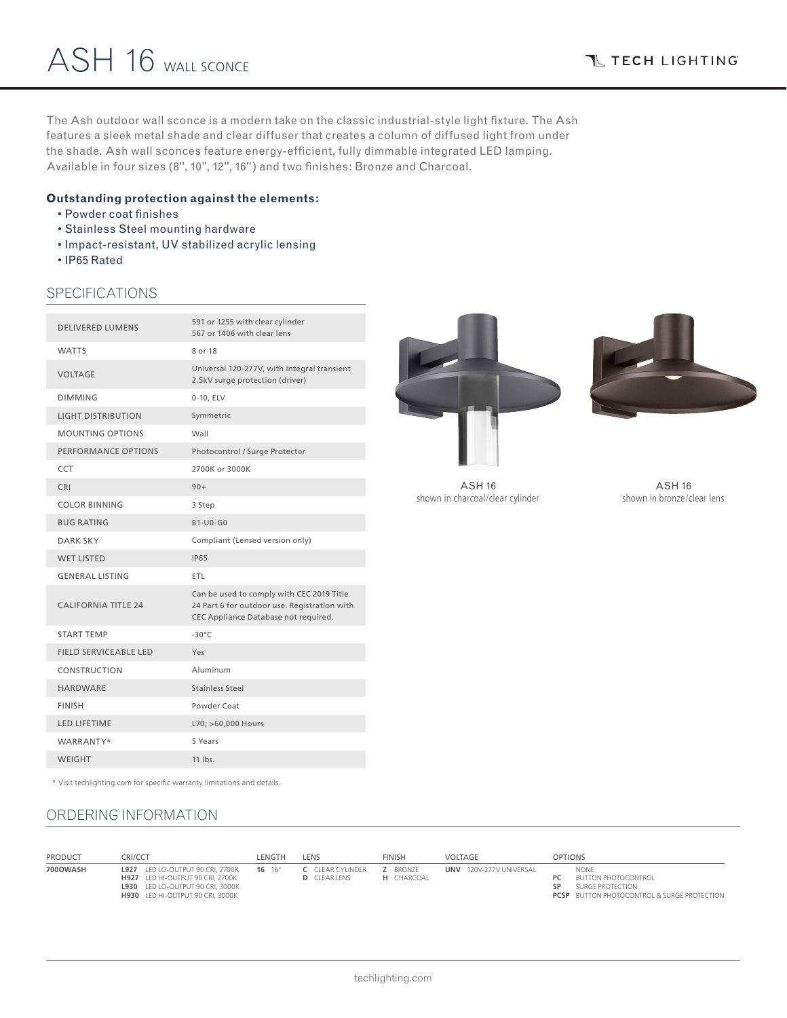The Ash outdoor wall sconce is a modern take on the classic industrial-style light fixture. The Ash features a sleek metal shade and clear diffuser that creates a column of diffused light from under the shade. Ash wall sconces feature energy-efficient, fully dimmable integrated LED lamping. Available in four sizes (8", 10", 12", 16") and two finishes: Bronze and Charcoal.

### **Outstanding protection against the elements:**

- Powder coat finishes
- Stainless Steel mounting hardware
- Impact-resistant, UV stabilized acrylic lensing
- IP65 Rated

### SPECIFICATIONS

| <b>DELIVERED LUMENS</b>      | 591 or 1255 with clear cylinder<br>567 or 1406 with clear lens                                                                    |
|------------------------------|-----------------------------------------------------------------------------------------------------------------------------------|
| <b>WATTS</b>                 | 8 or 18                                                                                                                           |
| <b>VOLTAGE</b>               | Universal 120-277V, with integral transient<br>2.5kV surge protection (driver)                                                    |
| <b>DIMMING</b>               | 0-10, ELV                                                                                                                         |
| <b>LIGHT DISTRIBUTION</b>    | Symmetric                                                                                                                         |
| <b>MOUNTING OPTIONS</b>      | Wall                                                                                                                              |
| PERFORMANCE OPTIONS          | Photocontrol / Surge Protector                                                                                                    |
| CCT                          | 2700K or 3000K                                                                                                                    |
| CRI                          | $90+$                                                                                                                             |
| <b>COLOR BINNING</b>         | 3 Step                                                                                                                            |
| <b>BUG RATING</b>            | $B1-U0-G0$                                                                                                                        |
| <b>DARK SKY</b>              | Compliant (Lensed version only)                                                                                                   |
| <b>WET LISTED</b>            | <b>IP65</b>                                                                                                                       |
| <b>GENERAL LISTING</b>       | <b>ETL</b>                                                                                                                        |
| <b>CALIFORNIA TITLE 24</b>   | Can be used to comply with CEC 2019 Title<br>24 Part 6 for outdoor use. Registration with<br>CEC Appliance Database not required. |
| <b>START TEMP</b>            | $-30^{\circ}$ C                                                                                                                   |
| <b>FIELD SERVICEABLE LED</b> | Yes                                                                                                                               |
| CONSTRUCTION                 | Aluminum                                                                                                                          |
| <b>HARDWARE</b>              | Stainless Steel                                                                                                                   |
| <b>FINISH</b>                | Powder Coat                                                                                                                       |
| <b>LED LIFETIME</b>          | L70; >60,000 Hours                                                                                                                |
| WARRANTY*                    | 5 Years                                                                                                                           |
| <b>WEIGHT</b>                | $11$ lbs.                                                                                                                         |
|                              |                                                                                                                                   |





ASH 16 shown in charcoal/clear cylinder

ASH 16 shown in bronze/clear lens

\* Visit techlighting.com for specific warranty limitations and details.

## ORDERING INFORMATION

| PRODUCT  | CRI/CCT                                                                                                                                                    | LENGTH     | LENS                                           | <b>FINISH</b>                        | VOLTAGE                 | <b>OPTIONS</b>                                                                                                             |
|----------|------------------------------------------------------------------------------------------------------------------------------------------------------------|------------|------------------------------------------------|--------------------------------------|-------------------------|----------------------------------------------------------------------------------------------------------------------------|
| 700OWASH | <b>L927</b> LED LO-OUTPUT 90 CRI. 2700K<br>H927 LED HI-OUTPUT 90 CRI. 2700K<br>L930 LED LO-OUTPUT 90 CRI. 3000K<br><b>H930</b> LED HI-OUTPUT 90 CRI, 3000K | $16 \t16"$ | <b>C</b> CLEAR CYLINDER<br><b>D</b> CLEAR LENS | <b>Z</b> BRONZE<br><b>H</b> CHARCOAL | UNV 120V-277V UNIVERSAL | <b>NONE</b><br><b>BUTTON PHOTOCONTROL</b><br>SURGE PROTECTION<br>ςp.<br><b>PCSP</b> BUTTON PHOTOCONTROL & SURGE PROTECTION |